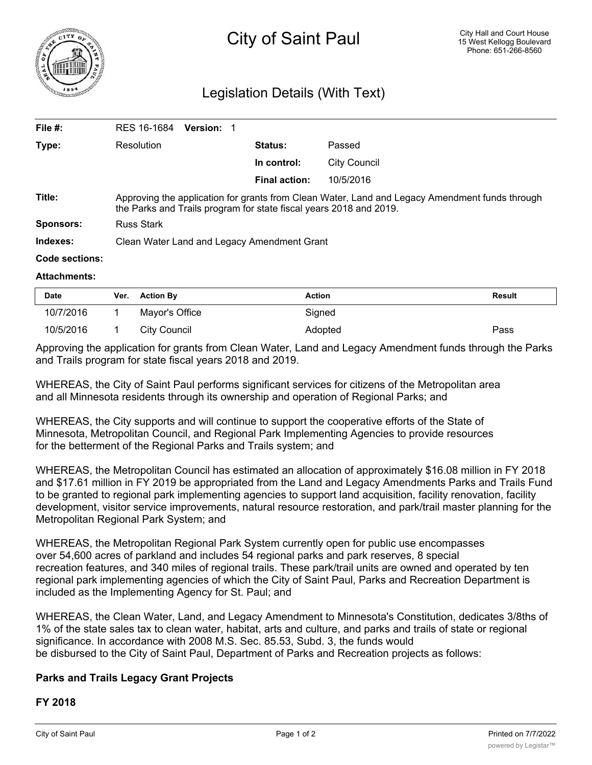

# Legislation Details (With Text)

| File $#$ :       | RES 16-1684                                                                                                                                                          | <b>Version: 1</b> |  |                      |              |  |  |
|------------------|----------------------------------------------------------------------------------------------------------------------------------------------------------------------|-------------------|--|----------------------|--------------|--|--|
| Type:            | Resolution                                                                                                                                                           |                   |  | <b>Status:</b>       | Passed       |  |  |
|                  |                                                                                                                                                                      |                   |  | In control:          | City Council |  |  |
|                  |                                                                                                                                                                      |                   |  | <b>Final action:</b> | 10/5/2016    |  |  |
| Title:           | Approving the application for grants from Clean Water, Land and Legacy Amendment funds through<br>the Parks and Trails program for state fiscal years 2018 and 2019. |                   |  |                      |              |  |  |
| <b>Sponsors:</b> | <b>Russ Stark</b>                                                                                                                                                    |                   |  |                      |              |  |  |
| Indexes:         | Clean Water Land and Legacy Amendment Grant                                                                                                                          |                   |  |                      |              |  |  |
| Code sections:   |                                                                                                                                                                      |                   |  |                      |              |  |  |
|                  |                                                                                                                                                                      |                   |  |                      |              |  |  |

#### **Attachments:**

| <b>Date</b> | Ver. | <b>Action Bv</b> | Action  | <b>Result</b> |
|-------------|------|------------------|---------|---------------|
| 10/7/2016   |      | Mayor's Office   | Signed  |               |
| 10/5/2016   |      | City Council     | Adopted | Pass          |

Approving the application for grants from Clean Water, Land and Legacy Amendment funds through the Parks and Trails program for state fiscal years 2018 and 2019.

WHEREAS, the City of Saint Paul performs significant services for citizens of the Metropolitan area and all Minnesota residents through its ownership and operation of Regional Parks; and

WHEREAS, the City supports and will continue to support the cooperative efforts of the State of Minnesota, Metropolitan Council, and Regional Park Implementing Agencies to provide resources for the betterment of the Regional Parks and Trails system; and

WHEREAS, the Metropolitan Council has estimated an allocation of approximately \$16.08 million in FY 2018 and \$17.61 million in FY 2019 be appropriated from the Land and Legacy Amendments Parks and Trails Fund to be granted to regional park implementing agencies to support land acquisition, facility renovation, facility development, visitor service improvements, natural resource restoration, and park/trail master planning for the Metropolitan Regional Park System; and

WHEREAS, the Metropolitan Regional Park System currently open for public use encompasses over 54,600 acres of parkland and includes 54 regional parks and park reserves, 8 special recreation features, and 340 miles of regional trails. These park/trail units are owned and operated by ten regional park implementing agencies of which the City of Saint Paul, Parks and Recreation Department is included as the Implementing Agency for St. Paul; and

WHEREAS, the Clean Water, Land, and Legacy Amendment to Minnesota's Constitution, dedicates 3/8ths of 1% of the state sales tax to clean water, habitat, arts and culture, and parks and trails of state or regional significance. In accordance with 2008 M.S. Sec. 85.53, Subd. 3, the funds would be disbursed to the City of Saint Paul, Department of Parks and Recreation projects as follows:

# **Parks and Trails Legacy Grant Projects**

### **FY 2018**